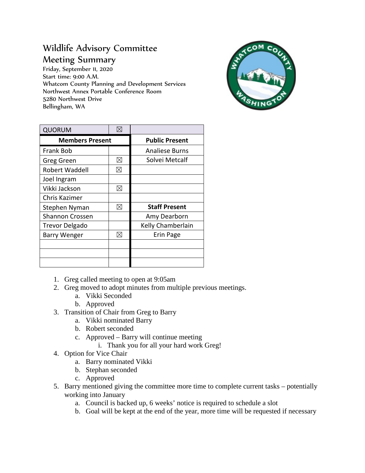## Wildlife Advisory Committee Meeting Summary

Friday, September 11, 2020 Start time: 9:00 A.M. Whatcom County Planning and Development Services Northwest Annex Portable Conference Room 5280 Northwest Drive Bellingham, WA



| <b>QUORUM</b>          | X           |                       |
|------------------------|-------------|-----------------------|
| <b>Members Present</b> |             | <b>Public Present</b> |
| <b>Frank Bob</b>       |             | Analiese Burns        |
| Greg Green             | ⊠           | Solvei Metcalf        |
| <b>Robert Waddell</b>  | ⊠           |                       |
| Joel Ingram            |             |                       |
| Vikki Jackson          | ⊠           |                       |
| Chris Kazimer          |             |                       |
| Stephen Nyman          | ⊠           | <b>Staff Present</b>  |
| <b>Shannon Crossen</b> |             | Amy Dearborn          |
| <b>Trevor Delgado</b>  |             | Kelly Chamberlain     |
| <b>Barry Wenger</b>    | $\boxtimes$ | Erin Page             |
|                        |             |                       |
|                        |             |                       |
|                        |             |                       |

- 1. Greg called meeting to open at 9:05am
- 2. Greg moved to adopt minutes from multiple previous meetings.
	- a. Vikki Seconded
	- b. Approved
- 3. Transition of Chair from Greg to Barry
	- a. Vikki nominated Barry
	- b. Robert seconded
	- c. Approved Barry will continue meeting
		- i. Thank you for all your hard work Greg!
- 4. Option for Vice Chair
	- a. Barry nominated Vikki
	- b. Stephan seconded
	- c. Approved
- 5. Barry mentioned giving the committee more time to complete current tasks potentially working into January
	- a. Council is backed up, 6 weeks' notice is required to schedule a slot
	- b. Goal will be kept at the end of the year, more time will be requested if necessary